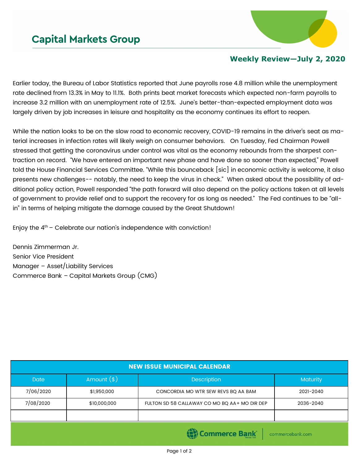

## **Weekly Review—July 2, 2020**

Earlier today, the Bureau of Labor Statistics reported that June payrolls rose 4.8 million while the unemployment rate declined from 13.3% in May to 11.1%. Both prints beat market forecasts which expected non-farm payrolls to increase 3.2 million with an unemployment rate of 12.5%. June's better-than-expected employment data was largely driven by job increases in leisure and hospitality as the economy continues its effort to reopen.

While the nation looks to be on the slow road to economic recovery, COVID-19 remains in the driver's seat as material increases in infection rates will likely weigh on consumer behaviors. On Tuesday, Fed Chairman Powell stressed that getting the coronavirus under control was vital as the economy rebounds from the sharpest contraction on record. "We have entered an important new phase and have done so sooner than expected," Powell told the House Financial Services Committee. "While this bounceback [sic] in economic activity is welcome, it also presents new challenges-- notably, the need to keep the virus in check." When asked about the possibility of additional policy action, Powell responded "the path forward will also depend on the policy actions taken at all levels of government to provide relief and to support the recovery for as long as needed." The Fed continues to be "allin" in terms of helping mitigate the damage caused by the Great Shutdown!

Enjoy the  $4<sup>th</sup>$  – Celebrate our nation's independence with conviction!

Dennis Zimmerman Jr. Senior Vice President Manager – Asset/Liability Services Commerce Bank – Capital Markets Group (CMG)

| <b>NEW ISSUE MUNICIPAL CALENDAR</b> |              |                                               |                  |  |  |
|-------------------------------------|--------------|-----------------------------------------------|------------------|--|--|
| <b>Date</b>                         | Amount $(s)$ | <b>Description</b>                            | <b>Maturity</b>  |  |  |
| 7/06/2020                           | \$1,950,000  | CONCORDIA MO WTR SEW REVS BQ AA BAM           | 2021-2040        |  |  |
| 7/08/2020                           | \$10,000,000 | FULTON SD 58 CALLAWAY CO MO BQ AA+ MO DIR DEP | 2036-2040        |  |  |
|                                     |              |                                               |                  |  |  |
|                                     |              | (C) Commerce Bank                             | commercebank.com |  |  |